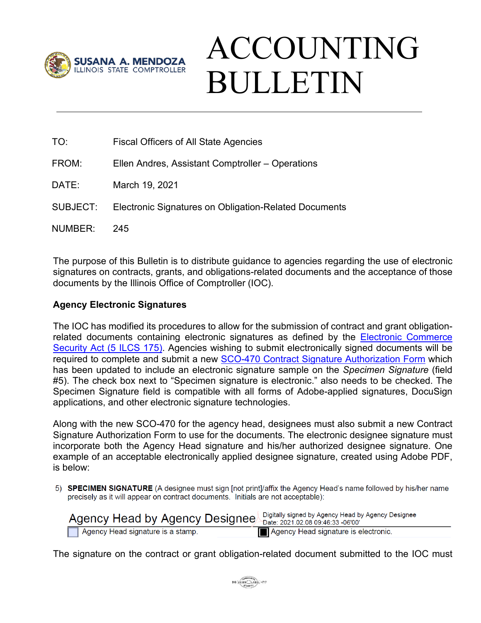

# ACCOUNTING BULLETIN

| TO: | <b>Fiscal Officers of All State Agencies</b> |  |
|-----|----------------------------------------------|--|
|     |                                              |  |

- FROM: Ellen Andres, Assistant Comptroller Operations
- DATE: March 19, 2021
- SUBJECT: Electronic Signatures on Obligation-Related Documents
- NUMBER: 245

The purpose of this Bulletin is to distribute guidance to agencies regarding the use of electronic signatures on contracts, grants, and obligations-related documents and the acceptance of those documents by the Illinois Office of Comptroller (IOC).

#### **Agency Electronic Signatures**

The IOC has modified its procedures to allow for the submission of contract and grant obligationrelated documents containing electronic signatures as defined by the **Electronic Commerce** [Security Act \(5 ILCS 175\).](https://www.ilga.gov/legislation/ilcs/ilcs5.asp?ActID=89&ChapterID=2) Agencies wishing to submit electronically signed documents will be required to complete and submit a new [SCO-470 Contract Signature Authorization Form](https://illinoiscomptroller.gov/agencies/resource-library/accounting-forms/sco-470-contract-signature-authorization/) which has been updated to include an electronic signature sample on the *Specimen Signature* (field #5). The check box next to "Specimen signature is electronic." also needs to be checked. The Specimen Signature field is compatible with all forms of Adobe-applied signatures, DocuSign applications, and other electronic signature technologies.

Along with the new SCO-470 for the agency head, designees must also submit a new Contract Signature Authorization Form to use for the documents. The electronic designee signature must incorporate both the Agency Head signature and his/her authorized designee signature. One example of an acceptable electronically applied designee signature, created using Adobe PDF, is below:

5) SPECIMEN SIGNATURE (A designee must sign [not print]/affix the Agency Head's name followed by his/her name precisely as it will appear on contract documents. Initials are not acceptable):

| Agency Head by Agency Designee $\frac{9}{2}$ Digitally signed by Agency Head by Agency Designee |                                      |
|-------------------------------------------------------------------------------------------------|--------------------------------------|
| Agency Head signature is a stamp.                                                               | Agency Head signature is electronic. |

The signature on the contract or grant obligation-related document submitted to the IOC must